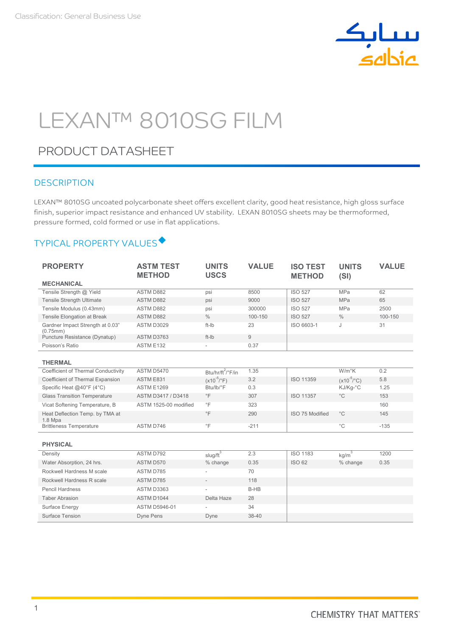

# LEXAN™ 8010SG FILM

# PRODUCT DATASHEET

## **DESCRIPTION**

LEXAN™ 8010SG uncoated polycarbonate sheet offers excellent clarity, good heat resistance, high gloss surface finish, superior impact resistance and enhanced UV stability. LEXAN 8010SG sheets may be thermoformed, pressure formed, cold formed or use in flat applications.

## TYPICAL PROPERTY VALUES

| <b>PROPERTY</b>                              | <b>ASTM TEST</b><br><b>METHOD</b> | <b>UNITS</b><br><b>USCS</b>   | <b>VALUE</b> | <b>ISO TEST</b><br><b>METHOD</b> | <b>UNITS</b><br>(SI)   | <b>VALUE</b> |
|----------------------------------------------|-----------------------------------|-------------------------------|--------------|----------------------------------|------------------------|--------------|
| <b>MECHANICAL</b>                            |                                   |                               |              |                                  |                        |              |
| Tensile Strength @ Yield                     | <b>ASTM D882</b>                  | psi                           | 8500         | <b>ISO 527</b>                   | <b>MPa</b>             | 62           |
| <b>Tensile Strength Ultimate</b>             | <b>ASTM D882</b>                  | psi                           | 9000         | <b>ISO 527</b>                   | <b>MPa</b>             | 65           |
| Tensile Modulus (0.43mm)                     | <b>ASTM D882</b>                  | psi                           | 300000       | <b>ISO 527</b>                   | MPa                    | 2500         |
| Tensile Elongation at Break                  | <b>ASTM D882</b>                  | $\frac{0}{0}$                 | 100-150      | <b>ISO 527</b>                   | $\%$                   | 100-150      |
| Gardner Impact Strength at 0.03"<br>(0.75mm) | ASTM D3029                        | ft-Ib                         | 23           | ISO 6603-1                       | J                      | 31           |
| Puncture Resistance (Dynatup)                | ASTM D3763                        | ft-Ib                         | 9            |                                  |                        |              |
| Poisson's Ratio                              | ASTM E132                         | $\bar{a}$                     | 0.37         |                                  |                        |              |
| <b>THERMAL</b>                               |                                   |                               |              |                                  |                        |              |
| Coefficient of Thermal Conductivity          | <b>ASTM D5470</b>                 | Btu/hr/ft <sup>2</sup> /°F/in | 1.35         |                                  | $W/m^{\circ}K$         | 0.2          |
| Coefficient of Thermal Expansion             | ASTM E831                         | $(x10^{-5}/^{\circ}F)$        | 3.2          | <b>ISO 11359</b>                 | $(x10^{-5}/^{\circ}C)$ | 5.8          |
| Specific Heat @40°F (4°C)                    | <b>ASTM E1269</b>                 | Btu/lb/°F                     | 0.3          |                                  | KJ/Kg-°C               | 1.25         |
| <b>Glass Transition Temperature</b>          | ASTM D3417 / D3418                | $\degree$ F                   | 307          | <b>ISO 11357</b>                 | $^{\circ}$ C           | 153          |
| Vicat Softening Temperature, B               | ASTM 1525-00 modified             | $\degree$ F                   | 323          |                                  |                        | 160          |
| Heat Deflection Temp. by TMA at<br>$1.8$ Mpa |                                   | $\circ$ F                     | 290          | ISO 75 Modified                  | $^{\circ}$ C           | 145          |
| <b>Brittleness Temperature</b>               | ASTM D746                         | $\degree$ F                   | $-211$       |                                  | $^{\circ}$ C           | $-135$       |
| <b>PHYSICAL</b>                              |                                   |                               |              |                                  |                        |              |
| Density                                      | ASTM D792                         | $slug/ft^3$                   | 2.3          | <b>ISO 1183</b>                  | kg/m <sup>3</sup>      | 1200         |
| Water Absorption, 24 hrs.                    | ASTM D570                         | % change                      | 0.35         | <b>ISO 62</b>                    | % change               | 0.35         |
| Rockwell Hardness M scale                    | ASTM D785                         |                               | 70           |                                  |                        |              |
| Rockwell Hardness R scale                    | ASTM D785                         |                               | 118          |                                  |                        |              |
| <b>Pencil Hardness</b>                       | ASTM D3363                        |                               | B-HB         |                                  |                        |              |
| <b>Taber Abrasion</b>                        | ASTM D1044                        | Delta Haze                    | 28           |                                  |                        |              |
| Surface Energy                               | <b>ASTM D5946-01</b>              |                               | 34           |                                  |                        |              |
| Surface Tension                              | Dyne Pens                         | Dyne                          | 38-40        |                                  |                        |              |